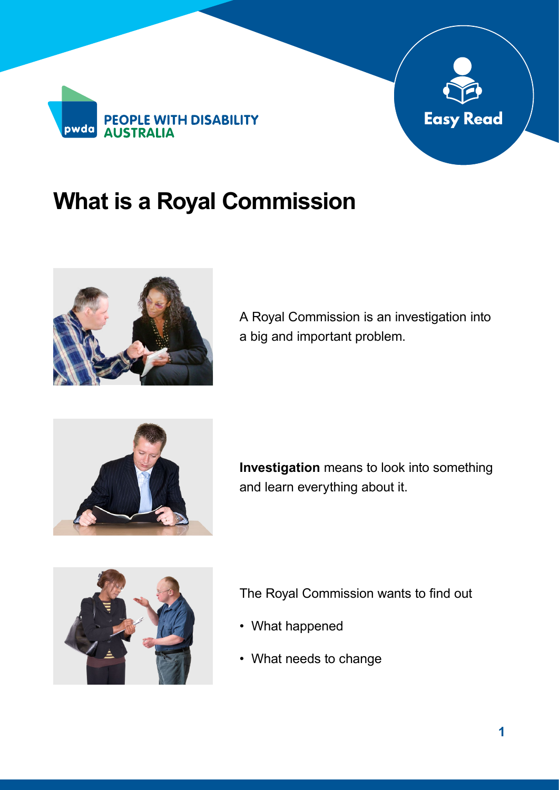



## **What is a Royal Commission**



A Royal Commission is an investigation into a big and important problem.



**Investigation** means to look into something and learn everything about it.



The Royal Commission wants to find out

- What happened
- What needs to change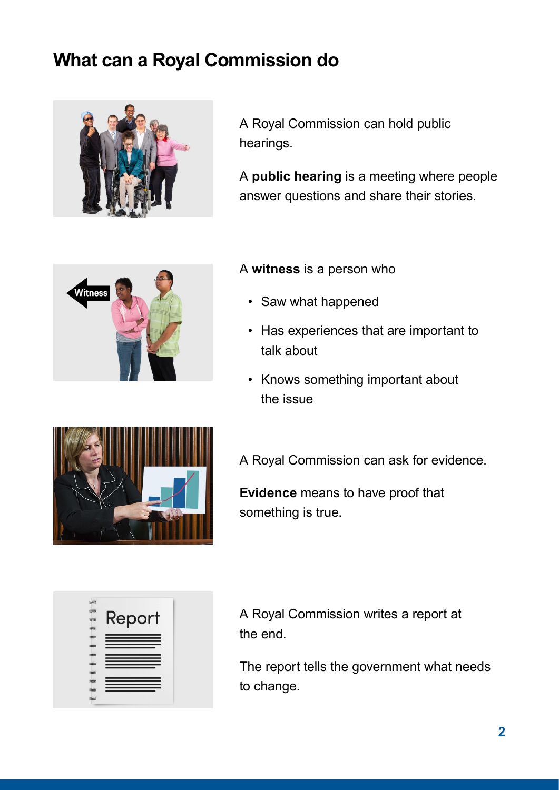## **What can a Royal Commission do**



A Royal Commission can hold public hearings.

A **public hearing** is a meeting where people answer questions and share their stories.



## A **witness** is a person who

- Saw what happened
- Has experiences that are important to talk about
- Knows something important about the issue



**Evidence** means to have proof that something is true.

| Report |
|--------|
|        |
|        |
|        |
|        |
|        |
|        |
|        |
|        |
|        |

A Royal Commission writes a report at the end.

The report tells the government what needs to change.

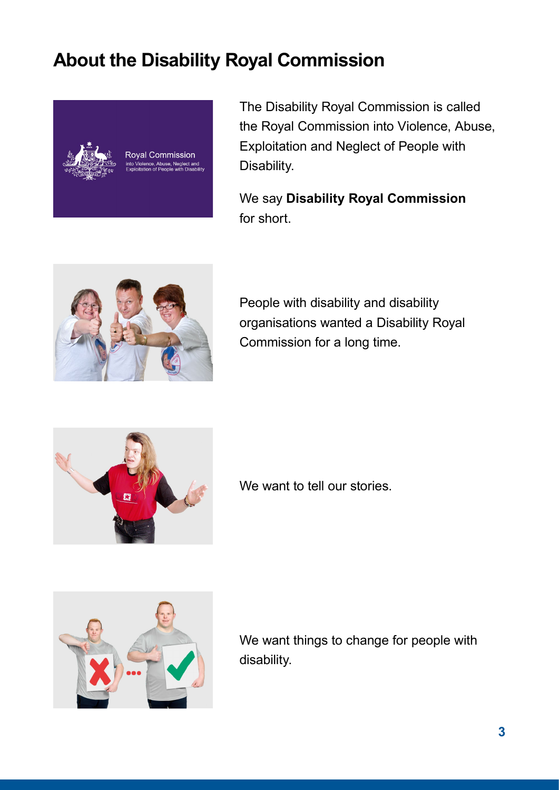## **About the Disability Royal Commission**



The Disability Royal Commission is called the Royal Commission into Violence, Abuse, Exploitation and Neglect of People with Disability.

We say **Disability Royal Commission** for short.



People with disability and disability organisations wanted a Disability Royal Commission for a long time.



We want to tell our stories.



We want things to change for people with disability.